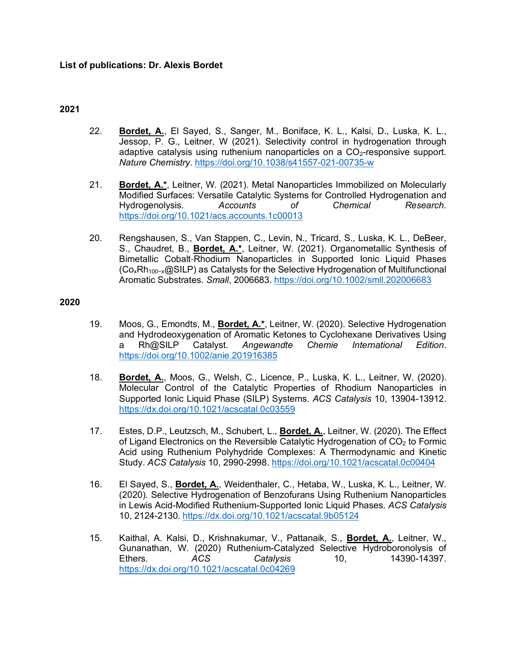# **2021**

- 22. **Bordet, A.**, El Sayed, S., Sanger, M., Boniface, K. L., Kalsi, D., Luska, K. L., Jessop, P. G., Leitner, W (2021). Selectivity control in hydrogenation through adaptive catalysis using ruthenium nanoparticles on a  $CO<sub>2</sub>$ -responsive support. *Nature Chemistry*. https://doi.org/10.1038/s41557-021-00735-w
- 21. **Bordet, A.\***, Leitner, W. (2021). Metal Nanoparticles Immobilized on Molecularly Modified Surfaces: Versatile Catalytic Systems for Controlled Hydrogenation and Hydrogenolysis. *Accounts of Chemical Research*. https://doi.org/10.1021/acs.accounts.1c00013
- 20. Rengshausen, S., Van Stappen, C., Levin, N., Tricard, S., Luska, K. L., DeBeer, S., Chaudret, B., **Bordet, A.\***, Leitner, W. (2021). Organometallic Synthesis of Bimetallic Cobalt-Rhodium Nanoparticles in Supported Ionic Liquid Phases (Co<sub>x</sub>Rh<sub>100−x</sub>@SILP) as Catalysts for the Selective Hydrogenation of Multifunctional Aromatic Substrates. *Small*, 2006683. https://doi.org/10.1002/smll.202006683

### **2020**

- 19. Moos, G., Emondts, M., **Bordet, A.\***, Leitner, W. (2020). Selective Hydrogenation and Hydrodeoxygenation of Aromatic Ketones to Cyclohexane Derivatives Using a Rh@SILP Catalyst. *Angewandte Chemie International Edition*. https://doi.org/10.1002/anie.201916385
- 18. **Bordet, A.**, Moos, G., Welsh, C., Licence, P., Luska, K. L., Leitner, W. (2020). Molecular Control of the Catalytic Properties of Rhodium Nanoparticles in Supported Ionic Liquid Phase (SILP) Systems. *ACS Catalysis* 10, 13904-13912. https://dx.doi.org/10.1021/acscatal.0c03559
- 17. Estes, D.P., Leutzsch, M., Schubert, L., **Bordet, A.**, Leitner, W. (2020). The Effect of Ligand Electronics on the Reversible Catalytic Hydrogenation of  $CO<sub>2</sub>$  to Formic Acid using Ruthenium Polyhydride Complexes: A Thermodynamic and Kinetic Study. *ACS Catalysis* 10, 2990-2998. https://doi.org/10.1021/acscatal.0c00404
- 16. El Sayed, S., **Bordet, A.**, Weidenthaler, C., Hetaba, W., Luska, K. L., Leitner, W. (2020). Selective Hydrogenation of Benzofurans Using Ruthenium Nanoparticles in Lewis Acid-Modified Ruthenium-Supported Ionic Liquid Phases. *ACS Catalysis* 10, 2124-2130. https://dx.doi.org/10.1021/acscatal.9b05124
- 15. Kaithal, A. Kalsi, D., Krishnakumar, V., Pattanaik, S., **Bordet, A.**, Leitner, W., Gunanathan, W. (2020) Ruthenium-Catalyzed Selective Hydroboronolysis of Ethers. *ACS Catalysis* 10, 14390-14397. https://dx.doi.org/10.1021/acscatal.0c04269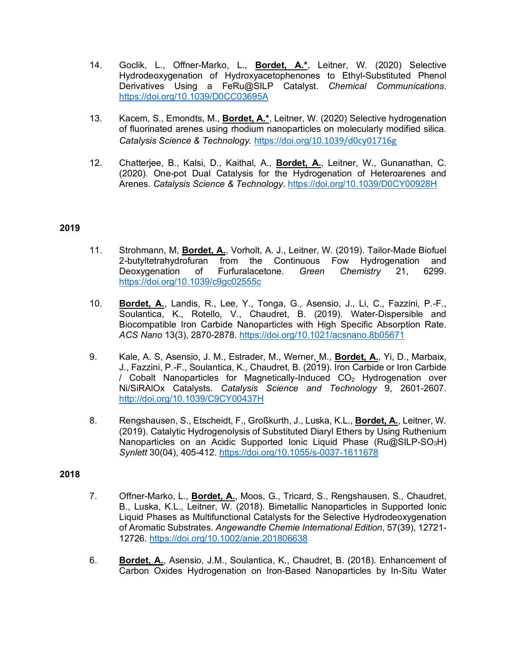- 14. Goclik, L., Offner-Marko, L., **Bordet, A.\***, Leitner, W. (2020) Selective Hydrodeoxygenation of Hydroxyacetophenones to Ethyl-Substituted Phenol Derivatives Using a FeRu@SILP Catalyst. *Chemical Communications*. https://doi.org/10.1039/D0CC03695A
- 13. Kacem, S., Emondts, M., **Bordet, A.\***, Leitner, W. (2020) Selective hydrogenation of fluorinated arenes using rhodium nanoparticles on molecularly modified silica. *Catalysis Science & Technology.* https://doi.org/10.1039/d0cy01716g
- 12. Chatterjee, B., Kalsi, D., Kaithal, A., **Bordet, A.**, Leitner, W., Gunanathan, C. (2020). One-pot Dual Catalysis for the Hydrogenation of Heteroarenes and Arenes. *Catalysis Science & Technology*. https://doi.org/10.1039/D0CY00928H

### **2019**

- 11. Strohmann, M, **Bordet, A.**, Vorholt, A. J., Leitner, W. (2019). Tailor-Made Biofuel 2-butyltetrahydrofuran from the Continuous Fow Hydrogenation and Deoxygenation of Furfuralacetone. *Green Chemistry* 21, 6299. https://doi.org/10.1039/c9gc02555c
- 10. **Bordet, A.**, Landis, R., Lee, Y., Tonga, G., Asensio, J., Li, C., Fazzini, P.-F., Soulantica, K., Rotello, V., Chaudret, B. (2019). Water-Dispersible and Biocompatible Iron Carbide Nanoparticles with High Specific Absorption Rate. *ACS Nano* 13(3), 2870-2878. https://doi.org/10.1021/acsnano.8b05671
- 9. Kale, A. S, Asensio, J. M., Estrader, M., Werner, M., **Bordet, A.**, Yi, D., Marbaix, J., Fazzini, P.-F., Soulantica, K., Chaudret, B. (2019). Iron Carbide or Iron Carbide / Cobalt Nanoparticles for Magnetically-Induced  $CO<sub>2</sub>$  Hydrogenation over Ni/SiRAlOx Catalysts. *Catalysis Science and Technology* 9, 2601-2607. http://doi.org/10.1039/C9CY00437H
- 8. Rengshausen, S., Etscheidt, F., Großkurth, J., Luska, K.L., **Bordet, A.**, Leitner, W. (2019). Catalytic Hydrogenolysis of Substituted Diaryl Ethers by Using Ruthenium Nanoparticles on an Acidic Supported Ionic Liquid Phase (Ru@SILP-SO<sub>3</sub>H) *Synlett* 30(04), 405-412. https://doi.org/10.1055/s-0037-1611678

#### **2018**

- 7. Offner-Marko, L., **Bordet, A.**, Moos, G., Tricard, S., Rengshausen, S., Chaudret, B., Luska, K.L., Leitner, W. (2018). Bimetallic Nanoparticles in Supported Ionic Liquid Phases as Multifunctional Catalysts for the Selective Hydrodeoxygenation of Aromatic Substrates. *Angewandte Chemie International Edition*, 57(39), 12721- 12726. https://doi.org/10.1002/anie.201806638
- 6. **Bordet, A.**, Asensio, J.M., Soulantica, K., Chaudret, B. (2018). Enhancement of Carbon Oxides Hydrogenation on Iron-Based Nanoparticles by In-Situ Water